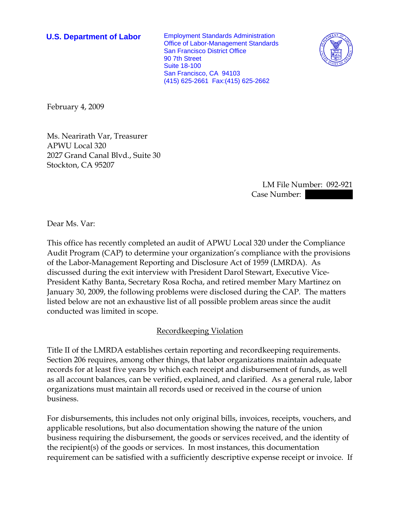**U.S. Department of Labor** Employment Standards Administration Office of Labor-Management Standards San Francisco District Office 90 7th Street Suite 18-100 San Francisco, CA 94103 (415) 625-2661 Fax:(415) 625-2662



February 4, 2009

Ms. Nearirath Var, Treasurer APWU Local 320 2027 Grand Canal Blvd., Suite 30 Stockton, CA 95207

> LM File Number: 092-921 Case Number:

Dear Ms. Var:

This office has recently completed an audit of APWU Local 320 under the Compliance Audit Program (CAP) to determine your organization's compliance with the provisions of the Labor-Management Reporting and Disclosure Act of 1959 (LMRDA). As discussed during the exit interview with President Darol Stewart, Executive Vice-President Kathy Banta, Secretary Rosa Rocha, and retired member Mary Martinez on January 30, 2009, the following problems were disclosed during the CAP. The matters listed below are not an exhaustive list of all possible problem areas since the audit conducted was limited in scope.

## Recordkeeping Violation

Title II of the LMRDA establishes certain reporting and recordkeeping requirements. Section 206 requires, among other things, that labor organizations maintain adequate records for at least five years by which each receipt and disbursement of funds, as well as all account balances, can be verified, explained, and clarified. As a general rule, labor organizations must maintain all records used or received in the course of union business.

For disbursements, this includes not only original bills, invoices, receipts, vouchers, and applicable resolutions, but also documentation showing the nature of the union business requiring the disbursement, the goods or services received, and the identity of the recipient(s) of the goods or services. In most instances, this documentation requirement can be satisfied with a sufficiently descriptive expense receipt or invoice. If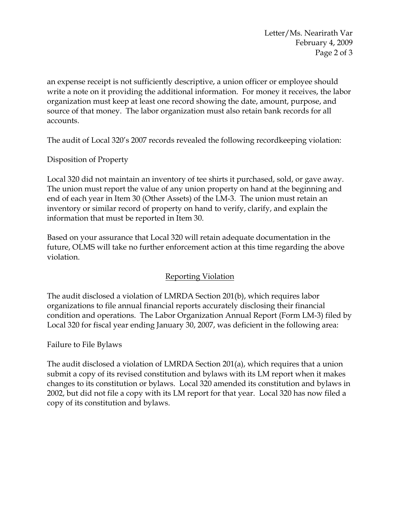Letter/Ms. Nearirath Var February 4, 2009 Page 2 of 3

an expense receipt is not sufficiently descriptive, a union officer or employee should write a note on it providing the additional information. For money it receives, the labor organization must keep at least one record showing the date, amount, purpose, and source of that money. The labor organization must also retain bank records for all accounts.

The audit of Local 320's 2007 records revealed the following recordkeeping violation:

Disposition of Property

Local 320 did not maintain an inventory of tee shirts it purchased, sold, or gave away. The union must report the value of any union property on hand at the beginning and end of each year in Item 30 (Other Assets) of the LM-3. The union must retain an inventory or similar record of property on hand to verify, clarify, and explain the information that must be reported in Item 30.

Based on your assurance that Local 320 will retain adequate documentation in the future, OLMS will take no further enforcement action at this time regarding the above violation.

## Reporting Violation

The audit disclosed a violation of LMRDA Section 201(b), which requires labor organizations to file annual financial reports accurately disclosing their financial condition and operations. The Labor Organization Annual Report (Form LM-3) filed by Local 320 for fiscal year ending January 30, 2007, was deficient in the following area:

Failure to File Bylaws

The audit disclosed a violation of LMRDA Section 201(a), which requires that a union submit a copy of its revised constitution and bylaws with its LM report when it makes changes to its constitution or bylaws. Local 320 amended its constitution and bylaws in 2002, but did not file a copy with its LM report for that year. Local 320 has now filed a copy of its constitution and bylaws.